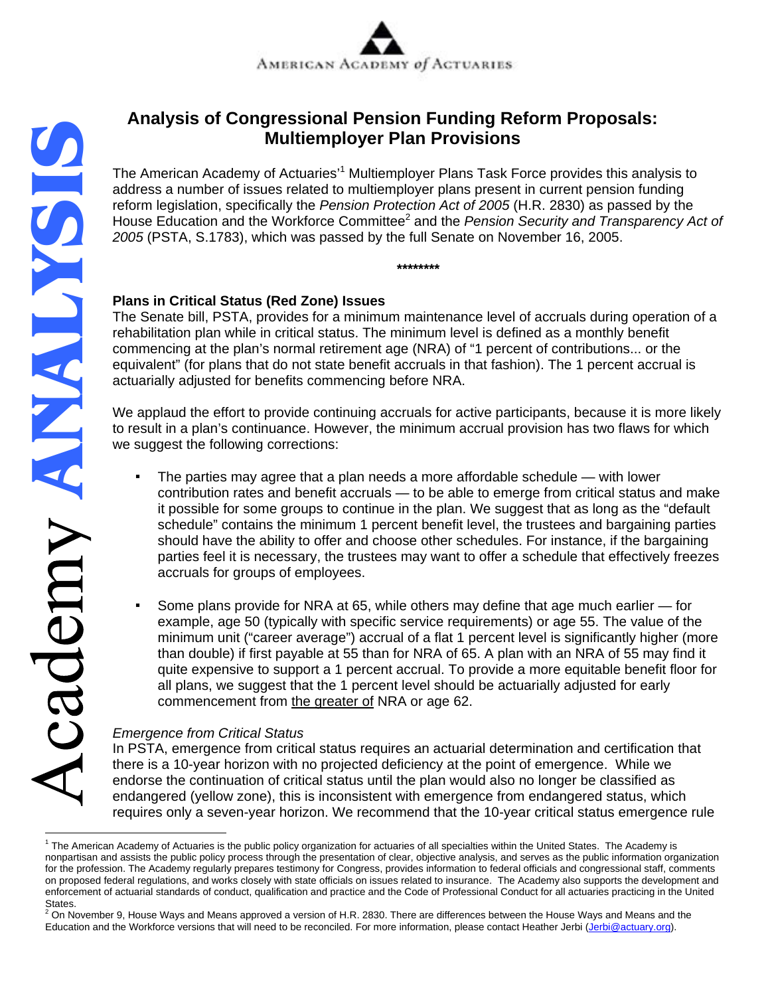# **Multiemployer Plan Provisions**

The American Academy of Actuaries'<sup>1</sup> Multiemployer Plans Task Force provides this analysis to address a number of issues related to multiemployer plans present in current pension funding reform legislation, specifically the *Pension Protection Act of 2005* (H.R. 2830) as passed by the House Education and the Workforce Committee<sup>2</sup> and the *Pension Security and Transparency Act of 2005* (PSTA, S.1783), which was passed by the full Senate on November 16, 2005.

**\*\*\*\*\*\*\*\*** 

## **Plans in Critical Status (Red Zone) Issues**

**Analysis of Congressional Pension Funding Reform Proposals:**<br>
Multiemployer Plan Provisions<br>
The American Academy of Actuaries'<sup>1</sup> Multiemployer Plans Task Force provides this analy<br>
reform legislation, specifically the The Senate bill, PSTA, provides for a minimum maintenance level of accruals during operation of a rehabilitation plan while in critical status. The minimum level is defined as a monthly benefit commencing at the plan's normal retirement age (NRA) of "1 percent of contributions... or the equivalent" (for plans that do not state benefit accruals in that fashion). The 1 percent accrual is actuarially adjusted for benefits commencing before NRA.

We applaud the effort to provide continuing accruals for active participants, because it is more likely to result in a plan's continuance. However, the minimum accrual provision has two flaws for which we suggest the following corrections:

- The parties may agree that a plan needs a more affordable schedule  $-$  with lower contribution rates and benefit accruals — to be able to emerge from critical status and make it possible for some groups to continue in the plan. We suggest that as long as the "default schedule" contains the minimum 1 percent benefit level, the trustees and bargaining parties should have the ability to offer and choose other schedules. For instance, if the bargaining parties feel it is necessary, the trustees may want to offer a schedule that effectively freezes accruals for groups of employees.
- Some plans provide for NRA at 65, while others may define that age much earlier for example, age 50 (typically with specific service requirements) or age 55. The value of the minimum unit ("career average") accrual of a flat 1 percent level is significantly higher (more than double) if first payable at 55 than for NRA of 65. A plan with an NRA of 55 may find it quite expensive to support a 1 percent accrual. To provide a more equitable benefit floor for all plans, we suggest that the 1 percent level should be actuarially adjusted for early commencement from the greater of NRA or age 62.

# *Emergence from Critical Status*

In PSTA, emergence from critical status requires an actuarial determination and certification that there is a 10-year horizon with no projected deficiency at the point of emergence. While we endorse the continuation of critical status until the plan would also no longer be classified as endangered (yellow zone), this is inconsistent with emergence from endangered status, which requires only a seven-year horizon. We recommend that the 10-year critical status emergence rule

<sup>&</sup>lt;sup>1</sup> The American Academy of Actuaries is the public policy organization for actuaries of all specialties within the United States. The Academy is nonpartisan and assists the public policy process through the presentation of clear, objective analysis, and serves as the public information organization for the profession. The Academy regularly prepares testimony for Congress, provides information to federal officials and congressional staff, comments on proposed federal regulations, and works closely with state officials on issues related to insurance. The Academy also supports the development and enforcement of actuarial standards of conduct, qualification and practice and the Code of Professional Conduct for all actuaries practicing in the United States.

On November 9, House Ways and Means approved a version of H.R. 2830. There are differences between the House Ways and Means and the Education and the Workforce versions that will need to be reconciled. For more information, please contact Heather Jerbi (Jerbi@actuary.org).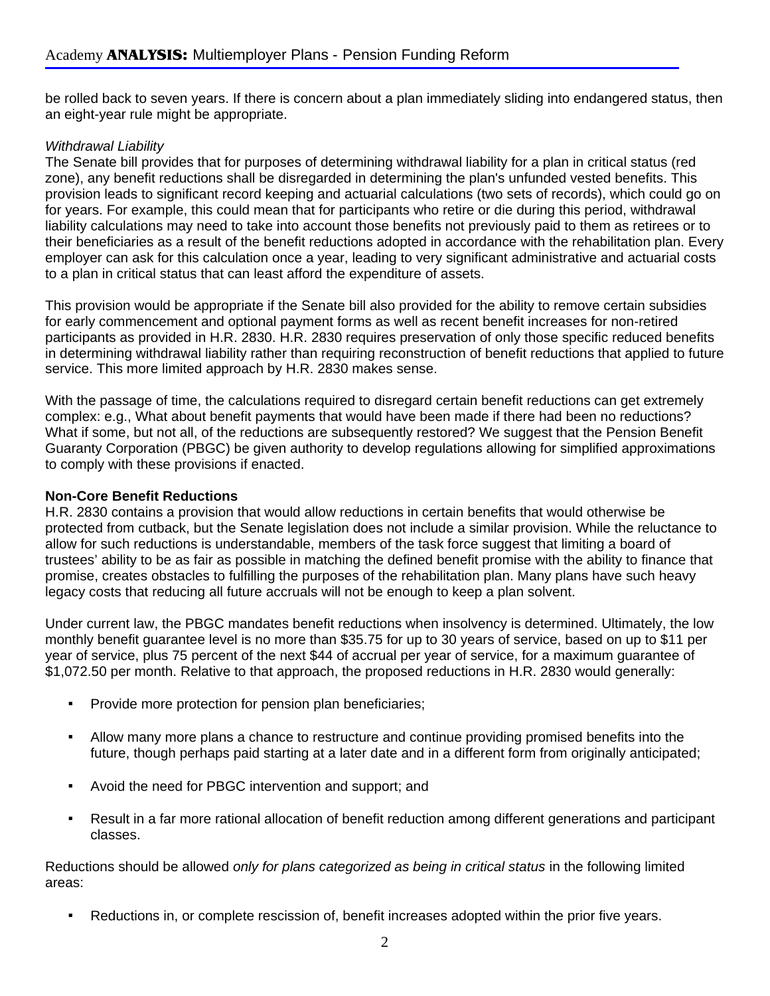be rolled back to seven years. If there is concern about a plan immediately sliding into endangered status, then an eight-year rule might be appropriate.

#### *Withdrawal Liability*

The Senate bill provides that for purposes of determining withdrawal liability for a plan in critical status (red zone), any benefit reductions shall be disregarded in determining the plan's unfunded vested benefits. This provision leads to significant record keeping and actuarial calculations (two sets of records), which could go on for years. For example, this could mean that for participants who retire or die during this period, withdrawal liability calculations may need to take into account those benefits not previously paid to them as retirees or to their beneficiaries as a result of the benefit reductions adopted in accordance with the rehabilitation plan. Every employer can ask for this calculation once a year, leading to very significant administrative and actuarial costs to a plan in critical status that can least afford the expenditure of assets.

This provision would be appropriate if the Senate bill also provided for the ability to remove certain subsidies for early commencement and optional payment forms as well as recent benefit increases for non-retired participants as provided in H.R. 2830. H.R. 2830 requires preservation of only those specific reduced benefits in determining withdrawal liability rather than requiring reconstruction of benefit reductions that applied to future service. This more limited approach by H.R. 2830 makes sense.

With the passage of time, the calculations required to disregard certain benefit reductions can get extremely complex: e.g., What about benefit payments that would have been made if there had been no reductions? What if some, but not all, of the reductions are subsequently restored? We suggest that the Pension Benefit Guaranty Corporation (PBGC) be given authority to develop regulations allowing for simplified approximations to comply with these provisions if enacted.

#### **Non-Core Benefit Reductions**

H.R. 2830 contains a provision that would allow reductions in certain benefits that would otherwise be protected from cutback, but the Senate legislation does not include a similar provision. While the reluctance to allow for such reductions is understandable, members of the task force suggest that limiting a board of trustees' ability to be as fair as possible in matching the defined benefit promise with the ability to finance that promise, creates obstacles to fulfilling the purposes of the rehabilitation plan. Many plans have such heavy legacy costs that reducing all future accruals will not be enough to keep a plan solvent.

Under current law, the PBGC mandates benefit reductions when insolvency is determined. Ultimately, the low monthly benefit guarantee level is no more than \$35.75 for up to 30 years of service, based on up to \$11 per year of service, plus 75 percent of the next \$44 of accrual per year of service, for a maximum guarantee of \$1,072.50 per month. Relative to that approach, the proposed reductions in H.R. 2830 would generally:

- **Provide more protection for pension plan beneficiaries;**
- Allow many more plans a chance to restructure and continue providing promised benefits into the future, though perhaps paid starting at a later date and in a different form from originally anticipated;
- Avoid the need for PBGC intervention and support; and
- Result in a far more rational allocation of benefit reduction among different generations and participant classes.

Reductions should be allowed *only for plans categorized as being in critical status* in the following limited areas:

▪ Reductions in, or complete rescission of, benefit increases adopted within the prior five years.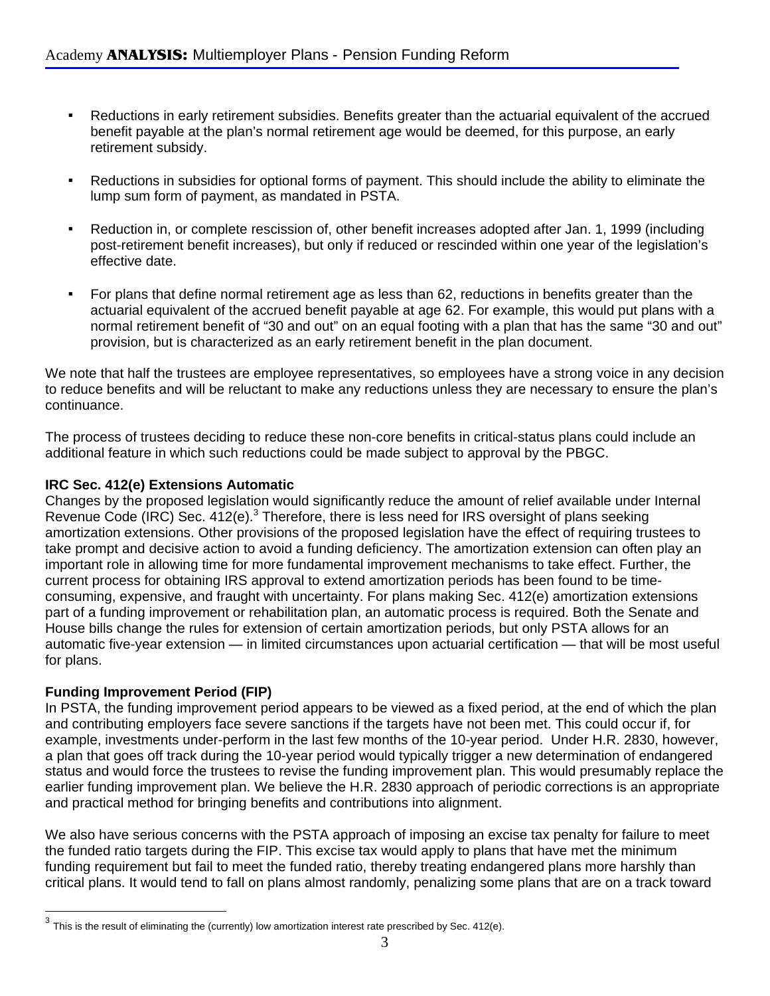- Reductions in early retirement subsidies. Benefits greater than the actuarial equivalent of the accrued benefit payable at the plan's normal retirement age would be deemed, for this purpose, an early retirement subsidy.
- Reductions in subsidies for optional forms of payment. This should include the ability to eliminate the lump sum form of payment, as mandated in PSTA.
- Reduction in, or complete rescission of, other benefit increases adopted after Jan. 1, 1999 (including post-retirement benefit increases), but only if reduced or rescinded within one year of the legislation's effective date.
- For plans that define normal retirement age as less than 62, reductions in benefits greater than the actuarial equivalent of the accrued benefit payable at age 62. For example, this would put plans with a normal retirement benefit of "30 and out" on an equal footing with a plan that has the same "30 and out" provision, but is characterized as an early retirement benefit in the plan document.

We note that half the trustees are employee representatives, so employees have a strong voice in any decision to reduce benefits and will be reluctant to make any reductions unless they are necessary to ensure the plan's continuance.

The process of trustees deciding to reduce these non-core benefits in critical-status plans could include an additional feature in which such reductions could be made subject to approval by the PBGC.

# **IRC Sec. 412(e) Extensions Automatic**

Changes by the proposed legislation would significantly reduce the amount of relief available under Internal Revenue Code (IRC) Sec.  $412(e)^3$  Therefore, there is less need for IRS oversight of plans seeking amortization extensions. Other provisions of the proposed legislation have the effect of requiring trustees to take prompt and decisive action to avoid a funding deficiency. The amortization extension can often play an important role in allowing time for more fundamental improvement mechanisms to take effect. Further, the current process for obtaining IRS approval to extend amortization periods has been found to be timeconsuming, expensive, and fraught with uncertainty. For plans making Sec. 412(e) amortization extensions part of a funding improvement or rehabilitation plan, an automatic process is required. Both the Senate and House bills change the rules for extension of certain amortization periods, but only PSTA allows for an automatic five-year extension — in limited circumstances upon actuarial certification — that will be most useful for plans.

# **Funding Improvement Period (FIP)**

 $\overline{a}$ 

In PSTA, the funding improvement period appears to be viewed as a fixed period, at the end of which the plan and contributing employers face severe sanctions if the targets have not been met. This could occur if, for example, investments under-perform in the last few months of the 10-year period. Under H.R. 2830, however, a plan that goes off track during the 10-year period would typically trigger a new determination of endangered status and would force the trustees to revise the funding improvement plan. This would presumably replace the earlier funding improvement plan. We believe the H.R. 2830 approach of periodic corrections is an appropriate and practical method for bringing benefits and contributions into alignment.

We also have serious concerns with the PSTA approach of imposing an excise tax penalty for failure to meet the funded ratio targets during the FIP. This excise tax would apply to plans that have met the minimum funding requirement but fail to meet the funded ratio, thereby treating endangered plans more harshly than critical plans. It would tend to fall on plans almost randomly, penalizing some plans that are on a track toward

 $3$  This is the result of eliminating the (currently) low amortization interest rate prescribed by Sec. 412(e).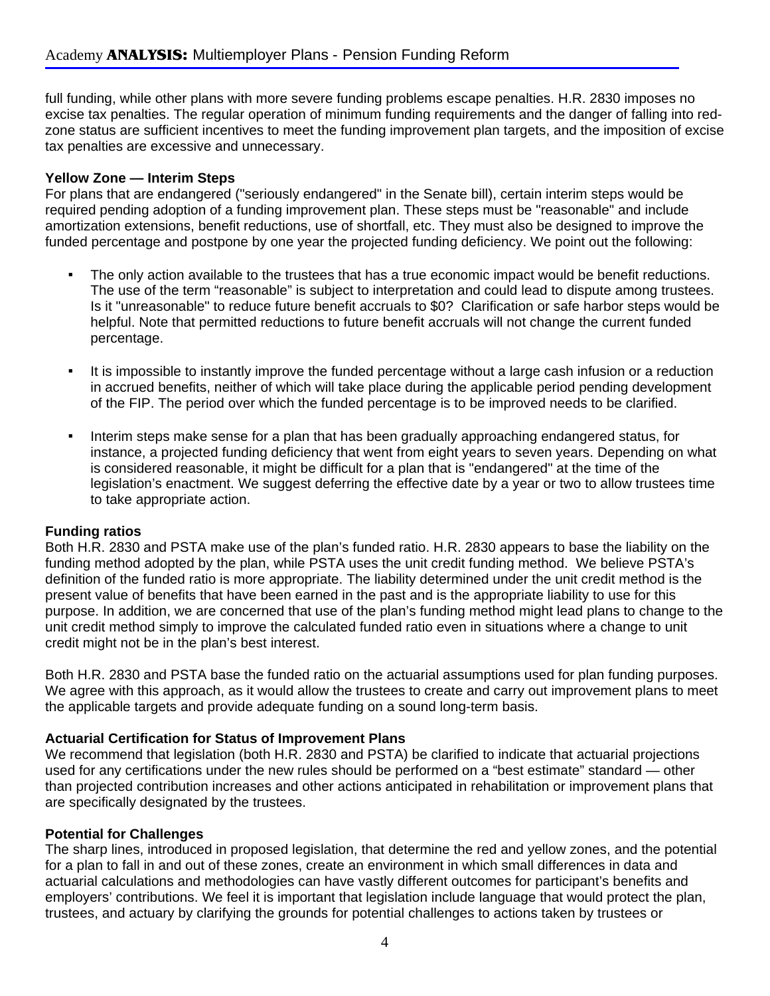full funding, while other plans with more severe funding problems escape penalties. H.R. 2830 imposes no excise tax penalties. The regular operation of minimum funding requirements and the danger of falling into redzone status are sufficient incentives to meet the funding improvement plan targets, and the imposition of excise tax penalties are excessive and unnecessary.

#### **Yellow Zone — Interim Steps**

For plans that are endangered ("seriously endangered" in the Senate bill), certain interim steps would be required pending adoption of a funding improvement plan. These steps must be "reasonable" and include amortization extensions, benefit reductions, use of shortfall, etc. They must also be designed to improve the funded percentage and postpone by one year the projected funding deficiency. We point out the following:

- The only action available to the trustees that has a true economic impact would be benefit reductions. The use of the term "reasonable" is subject to interpretation and could lead to dispute among trustees. Is it "unreasonable" to reduce future benefit accruals to \$0? Clarification or safe harbor steps would be helpful. Note that permitted reductions to future benefit accruals will not change the current funded percentage.
- It is impossible to instantly improve the funded percentage without a large cash infusion or a reduction in accrued benefits, neither of which will take place during the applicable period pending development of the FIP. The period over which the funded percentage is to be improved needs to be clarified.
- Interim steps make sense for a plan that has been gradually approaching endangered status, for instance, a projected funding deficiency that went from eight years to seven years. Depending on what is considered reasonable, it might be difficult for a plan that is "endangered" at the time of the legislation's enactment. We suggest deferring the effective date by a year or two to allow trustees time to take appropriate action.

## **Funding ratios**

Both H.R. 2830 and PSTA make use of the plan's funded ratio. H.R. 2830 appears to base the liability on the funding method adopted by the plan, while PSTA uses the unit credit funding method. We believe PSTA's definition of the funded ratio is more appropriate. The liability determined under the unit credit method is the present value of benefits that have been earned in the past and is the appropriate liability to use for this purpose. In addition, we are concerned that use of the plan's funding method might lead plans to change to the unit credit method simply to improve the calculated funded ratio even in situations where a change to unit credit might not be in the plan's best interest.

Both H.R. 2830 and PSTA base the funded ratio on the actuarial assumptions used for plan funding purposes. We agree with this approach, as it would allow the trustees to create and carry out improvement plans to meet the applicable targets and provide adequate funding on a sound long-term basis.

## **Actuarial Certification for Status of Improvement Plans**

We recommend that legislation (both H.R. 2830 and PSTA) be clarified to indicate that actuarial projections used for any certifications under the new rules should be performed on a "best estimate" standard — other than projected contribution increases and other actions anticipated in rehabilitation or improvement plans that are specifically designated by the trustees.

#### **Potential for Challenges**

The sharp lines, introduced in proposed legislation, that determine the red and yellow zones, and the potential for a plan to fall in and out of these zones, create an environment in which small differences in data and actuarial calculations and methodologies can have vastly different outcomes for participant's benefits and employers' contributions. We feel it is important that legislation include language that would protect the plan, trustees, and actuary by clarifying the grounds for potential challenges to actions taken by trustees or